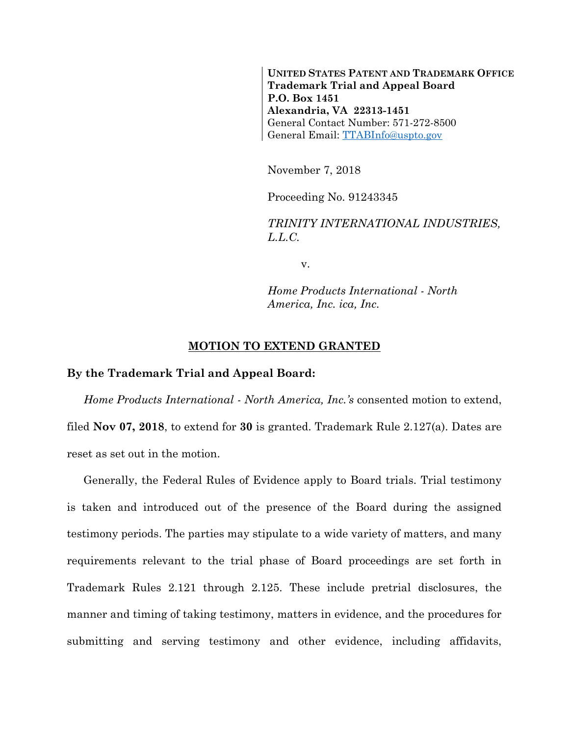**UNITED STATES PATENT AND TRADEMARK OFFICE Trademark Trial and Appeal Board P.O. Box 1451 Alexandria, VA 22313-1451** General Contact Number: 571-272-8500 General Email: [TTABInfo@uspto.gov](mailto:TTABInfo@uspto.gov)

November 7, 2018

Proceeding No. 91243345

*TRINITY INTERNATIONAL INDUSTRIES, L.L.C.*

v.

*Home Products International - North America, Inc. ica, Inc.*

## **MOTION TO EXTEND GRANTED**

## **By the Trademark Trial and Appeal Board:**

*Home Products International - North America, Inc.'s* consented motion to extend, filed **Nov 07, 2018**, to extend for **30** is granted. Trademark Rule 2.127(a). Dates are reset as set out in the motion.

Generally, the Federal Rules of Evidence apply to Board trials. Trial testimony is taken and introduced out of the presence of the Board during the assigned testimony periods. The parties may stipulate to a wide variety of matters, and many requirements relevant to the trial phase of Board proceedings are set forth in Trademark Rules 2.121 through 2.125. These include pretrial disclosures, the manner and timing of taking testimony, matters in evidence, and the procedures for submitting and serving testimony and other evidence, including affidavits,